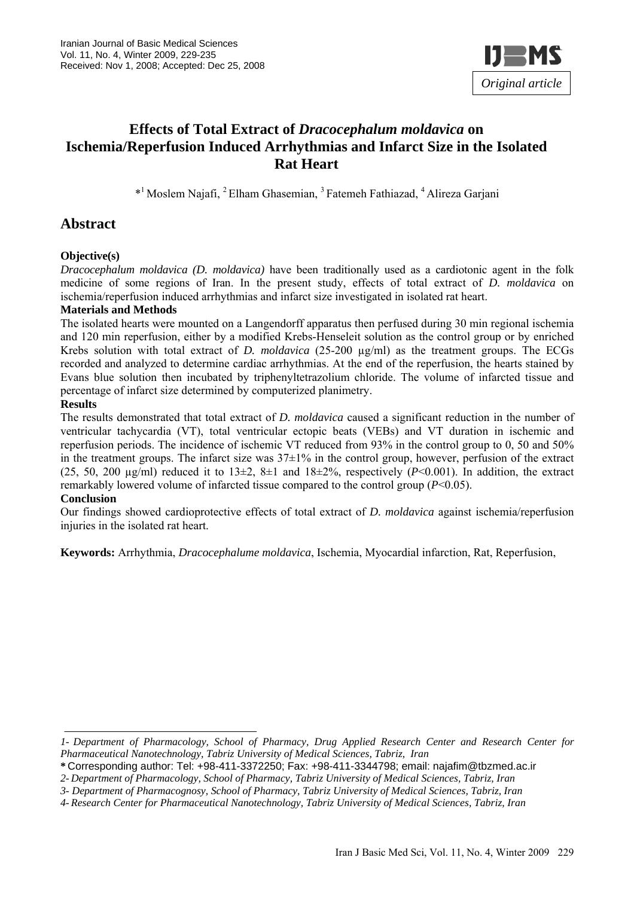

# **Effects of Total Extract of** *Dracocephalum moldavica* **on Ischemia/Reperfusion Induced Arrhythmias and Infarct Size in the Isolated Rat Heart**

\*1 Moslem Najafi, 2 Elham Ghasemian, 3 Fatemeh Fathiazad, 4 Alireza Garjani

# **Abstract**

### **Objective(s)**

*Dracocephalum moldavica (D. moldavica)* have been traditionally used as a cardiotonic agent in the folk medicine of some regions of Iran. In the present study, effects of total extract of *D. moldavica* on ischemia/reperfusion induced arrhythmias and infarct size investigated in isolated rat heart.

#### **Materials and Methods**

The isolated hearts were mounted on a Langendorff apparatus then perfused during 30 min regional ischemia and 120 min reperfusion, either by a modified Krebs-Henseleit solution as the control group or by enriched Krebs solution with total extract of *D. moldavica* (25-200  $\mu$ g/ml) as the treatment groups. The ECGs recorded and analyzed to determine cardiac arrhythmias. At the end of the reperfusion, the hearts stained by Evans blue solution then incubated by triphenyltetrazolium chloride. The volume of infarcted tissue and percentage of infarct size determined by computerized planimetry.

### **Results**

The results demonstrated that total extract of *D. moldavica* caused a significant reduction in the number of ventricular tachycardia (VT), total ventricular ectopic beats (VEBs) and VT duration in ischemic and reperfusion periods. The incidence of ischemic VT reduced from 93% in the control group to 0, 50 and 50% in the treatment groups. The infarct size was  $37\pm1\%$  in the control group, however, perfusion of the extract (25, 50, 200  $\mu$ g/ml) reduced it to 13 $\pm$ 2, 8 $\pm$ 1 and 18 $\pm$ 2%, respectively (*P*<0.001). In addition, the extract remarkably lowered volume of infarcted tissue compared to the control group (*P*<0.05).

#### **Conclusion**

Our findings showed cardioprotective effects of total extract of *D. moldavica* against ischemia/reperfusion injuries in the isolated rat heart.

**Keywords:** Arrhythmia, *Dracocephalume moldavica*, Ischemia, Myocardial infarction, Rat, Reperfusion,

*<sup>1-</sup> Department of Pharmacology, School of Pharmacy, Drug Applied Research Center and Research Center for Pharmaceutical Nanotechnology, Tabriz University of Medical Sciences, Tabriz, Iran* 

**<sup>\*</sup>** Corresponding author: Tel: +98-411-3372250; Fax: +98-411-3344798; email: najafim@tbzmed.ac.ir

*<sup>2-</sup> Department of Pharmacology, School of Pharmacy, Tabriz University of Medical Sciences, Tabriz, Iran* 

*<sup>3-</sup> Department of Pharmacognosy, School of Pharmacy, Tabriz University of Medical Sciences, Tabriz, Iran* 

*<sup>4-</sup> Research Center for Pharmaceutical Nanotechnology, Tabriz University of Medical Sciences, Tabriz, Iran*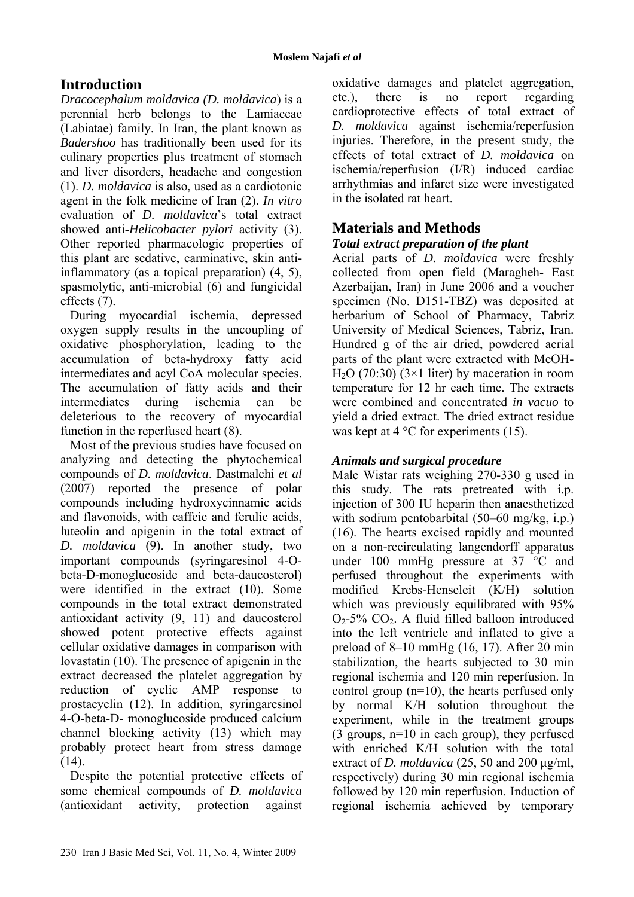# **Introduction**

*Dracocephalum moldavica (D. moldavica*) is a perennial herb belongs to the Lamiaceae (Labiatae) family. In Iran, the plant known as *Badershoo* has traditionally been used for its culinary properties plus treatment of stomach and liver disorders, headache and congestion (1). *D. moldavica* is also, used as a cardiotonic agent in the folk medicine of Iran (2). *In vitro* evaluation of *D. moldavica*'s total extract showed anti-*Helicobacter pylori* activity (3). Other reported pharmacologic properties of this plant are sedative, carminative, skin antiinflammatory (as a topical preparation) (4, 5), spasmolytic, anti-microbial (6) and fungicidal effects (7).

During myocardial ischemia, depressed oxygen supply results in the uncoupling of oxidative phosphorylation, leading to the accumulation of beta-hydroxy fatty acid intermediates and acyl CoA molecular species. The accumulation of fatty acids and their intermediates during ischemia can be deleterious to the recovery of myocardial function in the reperfused heart (8).

Most of the previous studies have focused on analyzing and detecting the phytochemical compounds of *D. moldavica*. Dastmalchi *et al* (2007) reported the presence of polar compounds including hydroxycinnamic acids and flavonoids, with caffeic and ferulic acids, luteolin and apigenin in the total extract of *D. moldavica* (9). In another study, two important compounds (syringaresinol 4-Obeta-D-monoglucoside and beta-daucosterol) were identified in the extract (10). Some compounds in the total extract demonstrated antioxidant activity (9, 11) and daucosterol showed potent protective effects against cellular oxidative damages in comparison with lovastatin (10). The presence of apigenin in the extract decreased the platelet aggregation by reduction of cyclic AMP response to prostacyclin (12). In addition, syringaresinol 4-O-beta-D- monoglucoside produced calcium channel blocking activity (13) which may probably protect heart from stress damage  $(14)$ .

Despite the potential protective effects of some chemical compounds of *D. moldavica* (antioxidant activity, protection against

oxidative damages and platelet aggregation, etc.), there is no report regarding cardioprotective effects of total extract of *D. moldavica* against ischemia/reperfusion injuries. Therefore, in the present study, the effects of total extract of *D. moldavica* on ischemia/reperfusion (I/R) induced cardiac arrhythmias and infarct size were investigated in the isolated rat heart.

# **Materials and Methods**

# *Total extract preparation of the plant*

Aerial parts of *D. moldavica* were freshly collected from open field (Maragheh- East Azerbaijan, Iran) in June 2006 and a voucher specimen (No. D151-TBZ) was deposited at herbarium of School of Pharmacy, Tabriz University of Medical Sciences, Tabriz, Iran. Hundred g of the air dried, powdered aerial parts of the plant were extracted with MeOH-H<sub>2</sub>O (70:30) (3×1 liter) by maceration in room temperature for 12 hr each time. The extracts were combined and concentrated *in vacuo* to yield a dried extract. The dried extract residue was kept at  $4^{\circ}$ C for experiments (15).

# *Animals and surgical procedure*

Male Wistar rats weighing 270-330 g used in this study. The rats pretreated with i.p. injection of 300 IU heparin then anaesthetized with sodium pentobarbital (50–60 mg/kg, i.p.) (16). The hearts excised rapidly and mounted on a non-recirculating langendorff apparatus under 100 mmHg pressure at 37 °C and perfused throughout the experiments with modified Krebs-Henseleit (K/H) solution which was previously equilibrated with 95%  $O<sub>2</sub>$ -5%  $CO<sub>2</sub>$ . A fluid filled balloon introduced into the left ventricle and inflated to give a preload of 8–10 mmHg (16, 17). After 20 min stabilization, the hearts subjected to 30 min regional ischemia and 120 min reperfusion. In control group  $(n=10)$ , the hearts perfused only by normal K/H solution throughout the experiment, while in the treatment groups (3 groups, n=10 in each group), they perfused with enriched K/H solution with the total extract of *D. moldavica* (25, 50 and 200 µg/ml, respectively) during 30 min regional ischemia followed by 120 min reperfusion. Induction of regional ischemia achieved by temporary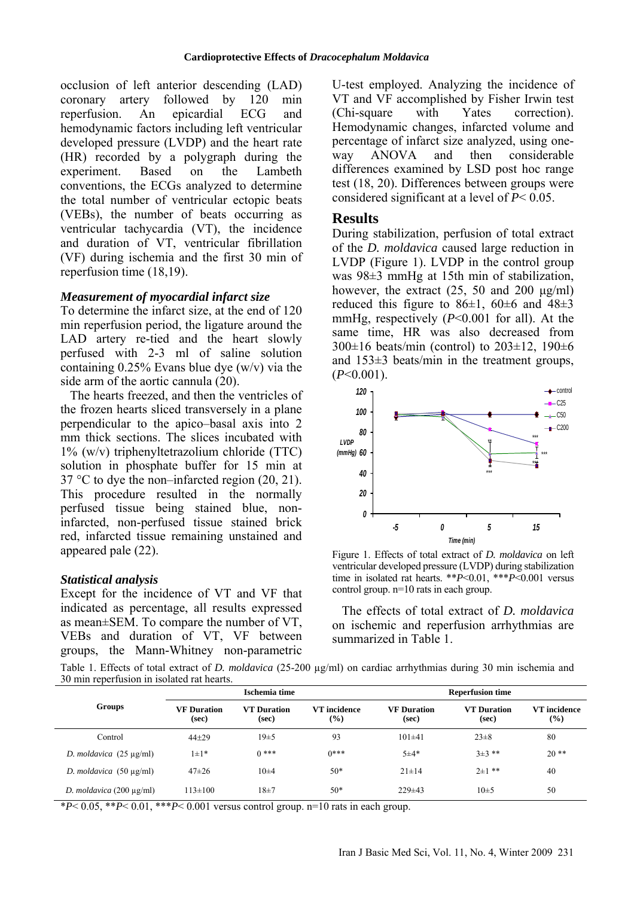occlusion of left anterior descending (LAD) coronary artery followed by 120 min reperfusion. An epicardial ECG and hemodynamic factors including left ventricular developed pressure (LVDP) and the heart rate (HR) recorded by a polygraph during the experiment. Based on the Lambeth conventions, the ECGs analyzed to determine the total number of ventricular ectopic beats (VEBs), the number of beats occurring as ventricular tachycardia (VT), the incidence and duration of VT, ventricular fibrillation (VF) during ischemia and the first 30 min of reperfusion time (18,19).

#### *Measurement of myocardial infarct size*

To determine the infarct size, at the end of 120 min reperfusion period, the ligature around the LAD artery re-tied and the heart slowly perfused with 2-3 ml of saline solution containing  $0.25\%$  Evans blue dye (w/v) via the side arm of the aortic cannula (20).

The hearts freezed, and then the ventricles of the frozen hearts sliced transversely in a plane perpendicular to the apico–basal axis into 2 mm thick sections. The slices incubated with 1% (w/v) triphenyltetrazolium chloride (TTC) solution in phosphate buffer for 15 min at 37 °C to dye the non–infarcted region  $(20, 21)$ . This procedure resulted in the normally perfused tissue being stained blue, noninfarcted, non-perfused tissue stained brick red, infarcted tissue remaining unstained and appeared pale (22).

## *Statistical analysis*

Except for the incidence of VT and VF that indicated as percentage, all results expressed as mean±SEM. To compare the number of VT, VEBs and duration of VT, VF between groups, the Mann-Whitney non-parametric U-test employed. Analyzing the incidence of VT and VF accomplished by Fisher Irwin test (Chi-square with Yates correction). Hemodynamic changes, infarcted volume and percentage of infarct size analyzed, using oneway ANOVA and then considerable differences examined by LSD post hoc range test (18, 20). Differences between groups were considered significant at a level of *P*< 0.05.

### **Results**

During stabilization, perfusion of total extract of the *D. moldavica* caused large reduction in LVDP (Figure 1). LVDP in the control group was 98±3 mmHg at 15th min of stabilization, however, the extract  $(25, 50 \text{ and } 200 \text{ µg/ml})$ reduced this figure to  $86\pm1$ ,  $60\pm6$  and  $48\pm3$ mmHg, respectively (*P*<0.001 for all). At the same time, HR was also decreased from  $300\pm16$  beats/min (control) to  $203\pm12$ , 190 $\pm6$ and 153±3 beats/min in the treatment groups,  $(P<0.001)$ .



Figure 1. Effects of total extract of *D. moldavica* on left ventricular developed pressure (LVDP) during stabilization time in isolated rat hearts. \*\**P*<0.01, \*\*\**P*<0.001 versus control group. n=10 rats in each group.

The effects of total extract of *D. moldavica* on ischemic and reperfusion arrhythmias are summarized in Table 1.

Table 1. Effects of total extract of *D. moldavica* (25-200 µg/ml) on cardiac arrhythmias during 30 min ischemia and 30 min reperfusion in isolated rat hearts.

| Groups                        | Ischemia time               |                             |                                              | <b>Reperfusion time</b>     |                             |                     |
|-------------------------------|-----------------------------|-----------------------------|----------------------------------------------|-----------------------------|-----------------------------|---------------------|
|                               | <b>VF Duration</b><br>(sec) | <b>VT</b> Duration<br>(sec) | VT incidence<br>$\left( \frac{9}{6} \right)$ | <b>VF</b> Duration<br>(sec) | <b>VT</b> Duration<br>(sec) | VT incidence<br>(%) |
| Control                       | $44 + 29$                   | $19\pm 5$                   | 93                                           | $101\pm41$                  | $23 \pm 8$                  | 80                  |
| D. moldavica $(25 \mu g/ml)$  | $1 \pm 1*$                  | $0***$                      | $0***$                                       | $5 + 4*$                    | $3+3$ **                    | $20**$              |
| D. moldavica $(50 \mu g/ml)$  | $47\pm 26$                  | 10±4                        | $50*$                                        | $21 \pm 14$                 | $2\pm1$ **                  | 40                  |
| D. moldavica $(200 \mu g/ml)$ | $113\pm100$                 | $18\pm7$                    | $50*$                                        | $229 \pm 43$                | $10\pm 5$                   | 50                  |

\**P*< 0.05, \*\**P*< 0.01, \*\*\**P*< 0.001 versus control group. n=10 rats in each group.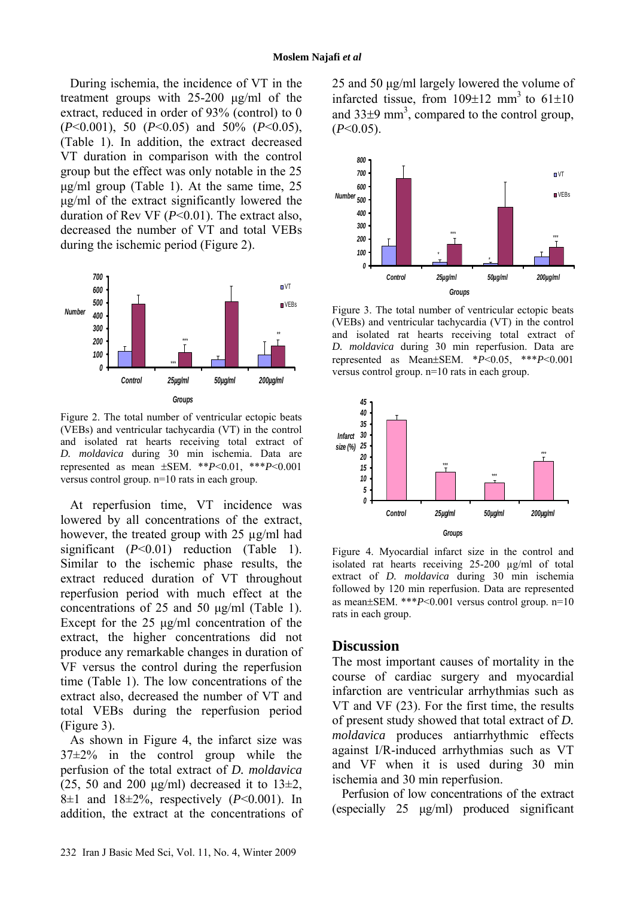During ischemia, the incidence of VT in the treatment groups with 25-200 µg/ml of the extract, reduced in order of 93% (control) to 0 (*P*<0.001), 50 (*P*<0.05) and 50% (*P*<0.05), (Table 1). In addition, the extract decreased VT duration in comparison with the control group but the effect was only notable in the 25 µg/ml group (Table 1). At the same time, 25 µg/ml of the extract significantly lowered the duration of Rev VF (*P*<0.01). The extract also, decreased the number of VT and total VEBs during the ischemic period (Figure 2).



Figure 2. The total number of ventricular ectopic beats (VEBs) and ventricular tachycardia (VT) in the control and isolated rat hearts receiving total extract of *D. moldavica* during 30 min ischemia. Data are represented as mean ±SEM. \*\**P*<0.01, \*\*\**P*<0.001 versus control group. n=10 rats in each group.

At reperfusion time, VT incidence was lowered by all concentrations of the extract, however, the treated group with 25 µg/ml had significant (*P*<0.01) reduction (Table 1). Similar to the ischemic phase results, the extract reduced duration of VT throughout reperfusion period with much effect at the concentrations of 25 and 50 µg/ml (Table 1). Except for the 25  $\mu$ g/ml concentration of the extract, the higher concentrations did not produce any remarkable changes in duration of VF versus the control during the reperfusion time (Table 1). The low concentrations of the extract also, decreased the number of VT and total VEBs during the reperfusion period (Figure 3).

As shown in Figure 4, the infarct size was  $37\pm2\%$  in the control group while the perfusion of the total extract of *D. moldavica* (25, 50 and 200  $\mu$ g/ml) decreased it to 13 $\pm$ 2, 8 $\pm$ 1 and 18 $\pm$ 2%, respectively (*P*<0.001). In addition, the extract at the concentrations of 25 and 50 µg/ml largely lowered the volume of infarcted tissue, from  $109\pm12$  mm<sup>3</sup> to  $61\pm10$ and  $33\pm9$  mm<sup>3</sup>, compared to the control group,  $(P<0.05)$ .



Figure 3. The total number of ventricular ectopic beats (VEBs) and ventricular tachycardia (VT) in the control and isolated rat hearts receiving total extract of *D. moldavica* during 30 min reperfusion. Data are represented as Mean±SEM. \**P*<0.05, \*\*\**P*<0.001 versus control group. n=10 rats in each group.



Figure 4. Myocardial infarct size in the control and isolated rat hearts receiving 25-200 µg/ml of total extract of *D. moldavica* during 30 min ischemia followed by 120 min reperfusion. Data are represented as mean±SEM. \*\*\**P*<0.001 versus control group. n=10 rats in each group.

## **Discussion**

The most important causes of mortality in the course of cardiac surgery and myocardial infarction are ventricular arrhythmias such as VT and VF (23). For the first time, the results of present study showed that total extract of *D. moldavica* produces antiarrhythmic effects against I/R-induced arrhythmias such as VT and VF when it is used during 30 min ischemia and 30 min reperfusion.

Perfusion of low concentrations of the extract (especially 25 µg/ml) produced significant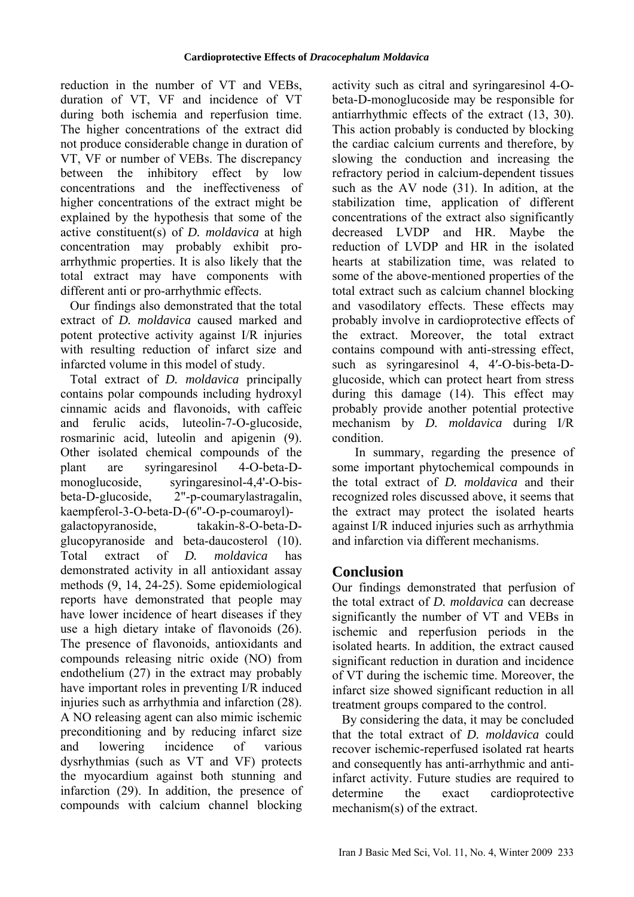reduction in the number of VT and VEBs, duration of VT, VF and incidence of VT during both ischemia and reperfusion time. The higher concentrations of the extract did not produce considerable change in duration of VT, VF or number of VEBs. The discrepancy between the inhibitory effect by low concentrations and the ineffectiveness of higher concentrations of the extract might be explained by the hypothesis that some of the active constituent(s) of *D. moldavica* at high concentration may probably exhibit proarrhythmic properties. It is also likely that the total extract may have components with different anti or pro-arrhythmic effects.

Our findings also demonstrated that the total extract of *D. moldavica* caused marked and potent protective activity against I/R injuries with resulting reduction of infarct size and infarcted volume in this model of study.

Total extract of *D. moldavica* principally contains polar compounds including hydroxyl cinnamic acids and flavonoids, with caffeic and ferulic acids, luteolin-7-O-glucoside, rosmarinic acid, luteolin and apigenin (9). Other isolated chemical compounds of the plant are syringaresinol 4-O-beta-Dmonoglucoside, syringaresinol-4,4'-O-bisbeta-D-glucoside, 2"-p-coumarylastragalin, kaempferol-3-O-beta-D-(6"-O-p-coumaroyl) galactopyranoside, takakin-8-O-beta-Dglucopyranoside and beta-daucosterol (10). Total extract of *D. moldavica* has demonstrated activity in all antioxidant assay methods (9, 14, 24-25). Some epidemiological reports have demonstrated that people may have lower incidence of heart diseases if they use a high dietary intake of flavonoids (26). The presence of flavonoids, antioxidants and compounds releasing nitric oxide (NO) from endothelium (27) in the extract may probably have important roles in preventing I/R induced injuries such as arrhythmia and infarction (28). A NO releasing agent can also mimic ischemic preconditioning and by reducing infarct size and lowering incidence of various dysrhythmias (such as VT and VF) protects the myocardium against both stunning and infarction (29). In addition, the presence of compounds with calcium channel blocking

activity such as citral and syringaresinol 4-Obeta-D-monoglucoside may be responsible for antiarrhythmic effects of the extract (13, 30). This action probably is conducted by blocking the cardiac calcium currents and therefore, by slowing the conduction and increasing the refractory period in calcium-dependent tissues such as the AV node (31). In adition, at the stabilization time, application of different concentrations of the extract also significantly decreased LVDP and HR. Maybe the reduction of LVDP and HR in the isolated hearts at stabilization time, was related to some of the above-mentioned properties of the total extract such as calcium channel blocking and vasodilatory effects. These effects may probably involve in cardioprotective effects of the extract. Moreover, the total extract contains compound with anti-stressing effect, such as syringaresinol 4, 4′-O-bis-beta-Dglucoside, which can protect heart from stress during this damage (14). This effect may probably provide another potential protective mechanism by *D. moldavica* during I/R condition.

In summary, regarding the presence of some important phytochemical compounds in the total extract of *D. moldavica* and their recognized roles discussed above, it seems that the extract may protect the isolated hearts against I/R induced injuries such as arrhythmia and infarction via different mechanisms.

# **Conclusion**

Our findings demonstrated that perfusion of the total extract of *D. moldavica* can decrease significantly the number of VT and VEBs in ischemic and reperfusion periods in the isolated hearts. In addition, the extract caused significant reduction in duration and incidence of VT during the ischemic time. Moreover, the infarct size showed significant reduction in all treatment groups compared to the control.

By considering the data, it may be concluded that the total extract of *D. moldavica* could recover ischemic-reperfused isolated rat hearts and consequently has anti-arrhythmic and antiinfarct activity. Future studies are required to determine the exact cardioprotective mechanism(s) of the extract.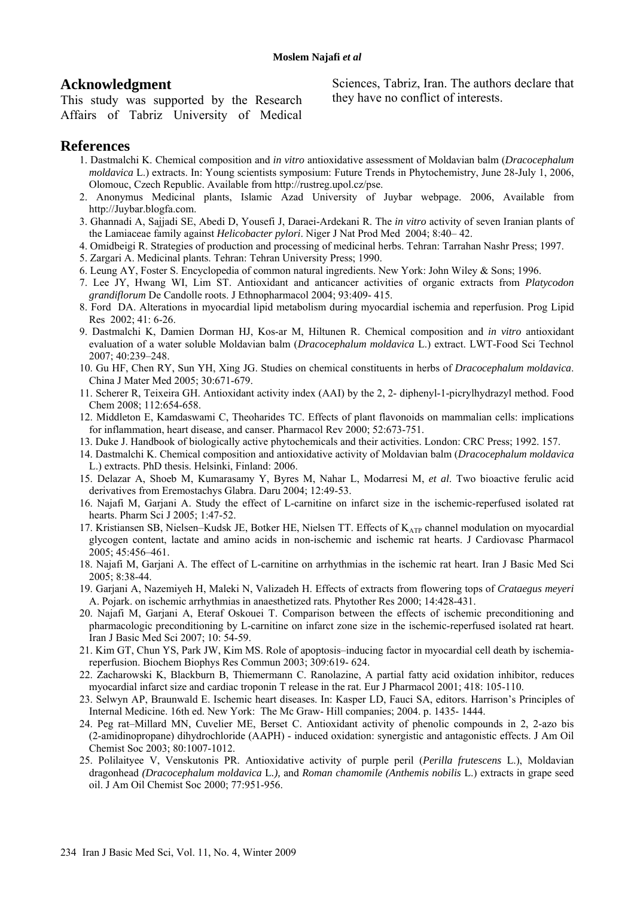## **Acknowledgment**

This study was supported by the Research Affairs of Tabriz University of Medical Sciences, Tabriz, Iran. The authors declare that they have no conflict of interests.

## **References**

- 1. Dastmalchi K. Chemical composition and *in vitro* antioxidative assessment of Moldavian balm (*Dracocephalum moldavica* L.) extracts. In: Young scientists symposium: Future Trends in Phytochemistry, June 28-July 1, 2006, Olomouc, Czech Republic. Available from http://rustreg.upol.cz/pse.
- 2. Anonymus Medicinal plants, Islamic Azad University of Juybar webpage. 2006, Available from http://Juybar.blogfa.com.
- 3. Ghannadi A, Sajjadi SE, Abedi D, Yousefi J, Daraei-Ardekani R. The *in vitro* activity of seven Iranian plants of the Lamiaceae family against *Helicobacter pylori*. Niger J Nat Prod Med 2004; 8:40– 42.
- 4. Omidbeigi R. Strategies of production and processing of medicinal herbs. Tehran: Tarrahan Nashr Press; 1997.
- 5. Zargari A. Medicinal plants. Tehran: Tehran University Press; 1990.
- 6. Leung AY, Foster S. Encyclopedia of common natural ingredients. New York: John Wiley & Sons; 1996.
- 7. Lee JY, Hwang WI, Lim ST. Antioxidant and anticancer activities of organic extracts from *Platycodon grandiflorum* De Candolle roots. J Ethnopharmacol 2004; 93:409- 415.
- 8. Ford DA. Alterations in myocardial lipid metabolism during myocardial ischemia and reperfusion. Prog Lipid Res 2002; 41: 6-26.
- 9. Dastmalchi K, Damien Dorman HJ, Kos-ar M, Hiltunen R. Chemical composition and *in vitro* antioxidant evaluation of a water soluble Moldavian balm (*Dracocephalum moldavica* L.) extract. LWT-Food Sci Technol 2007; 40:239–248.
- 10. Gu HF, Chen RY, Sun YH, Xing JG. Studies on chemical constituents in herbs of *Dracocephalum moldavica*. China J Mater Med 2005; 30:671-679.
- 11. Scherer R, Teixeira GH. Antioxidant activity index (AAI) by the 2, 2- diphenyl-1-picrylhydrazyl method. Food Chem 2008; 112:654-658.
- 12. Middleton E, Kamdaswami C, Theoharides TC. Effects of plant flavonoids on mammalian cells: implications for inflammation, heart disease, and canser. Pharmacol Rev 2000; 52:673-751.
- 13. Duke J. Handbook of biologically active phytochemicals and their activities. London: CRC Press; 1992. 157.
- 14. Dastmalchi K. Chemical composition and antioxidative activity of Moldavian balm (*Dracocephalum moldavica* L.) extracts. PhD thesis. Helsinki, Finland: 2006.
- 15. Delazar A, Shoeb M, Kumarasamy Y, Byres M, Nahar L, Modarresi M, *et al*. Two bioactive ferulic acid derivatives from Eremostachys Glabra. Daru 2004; 12:49-53.
- 16. Najafi M, Garjani A. Study the effect of L-carnitine on infarct size in the ischemic-reperfused isolated rat hearts. Pharm Sci J 2005; 1:47-52.
- 17. Kristiansen SB, Nielsen–Kudsk JE, Botker HE, Nielsen TT. Effects of KATP channel modulation on myocardial glycogen content, lactate and amino acids in non-ischemic and ischemic rat hearts. J Cardiovasc Pharmacol 2005; 45:456–461.
- 18. Najafi M, Garjani A. The effect of L-carnitine on arrhythmias in the ischemic rat heart. Iran J Basic Med Sci 2005; 8:38-44.
- 19. Garjani A, Nazemiyeh H, Maleki N, Valizadeh H. Effects of extracts from flowering tops of *Crataegus meyeri* A. Pojark. on ischemic arrhythmias in anaesthetized rats. Phytother Res 2000; 14:428-431.
- 20. Najafi M, Garjani A, Eteraf Oskouei T. Comparison between the effects of ischemic preconditioning and pharmacologic preconditioning by L-carnitine on infarct zone size in the ischemic-reperfused isolated rat heart. Iran J Basic Med Sci 2007; 10: 54-59.
- 21. Kim GT, Chun YS, Park JW, Kim MS. Role of apoptosis–inducing factor in myocardial cell death by ischemiareperfusion. Biochem Biophys Res Commun 2003; 309:619- 624.
- 22. Zacharowski K, Blackburn B, Thiemermann C. Ranolazine, A partial fatty acid oxidation inhibitor, reduces myocardial infarct size and cardiac troponin T release in the rat. Eur J Pharmacol 2001; 418: 105-110.
- 23. Selwyn AP, Braunwald E. Ischemic heart diseases. In: Kasper LD, Fauci SA, editors. Harrison's Principles of Internal Medicine. 16th ed. New York: The Mc Graw- Hill companies; 2004. p. 1435- 1444.
- 24. Peg rat–Millard MN, Cuvelier ME, Berset C. Antioxidant activity of phenolic compounds in 2, 2-azo bis (2-amidinopropane) dihydrochloride (AAPH) - induced oxidation: synergistic and antagonistic effects. J Am Oil Chemist Soc 2003; 80:1007-1012.
- 25. Polilaityee V, Venskutonis PR. Antioxidative activity of purple peril (*Perilla frutescens* L.), Moldavian dragonhead *(Dracocephalum moldavica* L*.),* and *Roman chamomile (Anthemis nobilis* L.) extracts in grape seed oil. J Am Oil Chemist Soc 2000; 77:951-956.